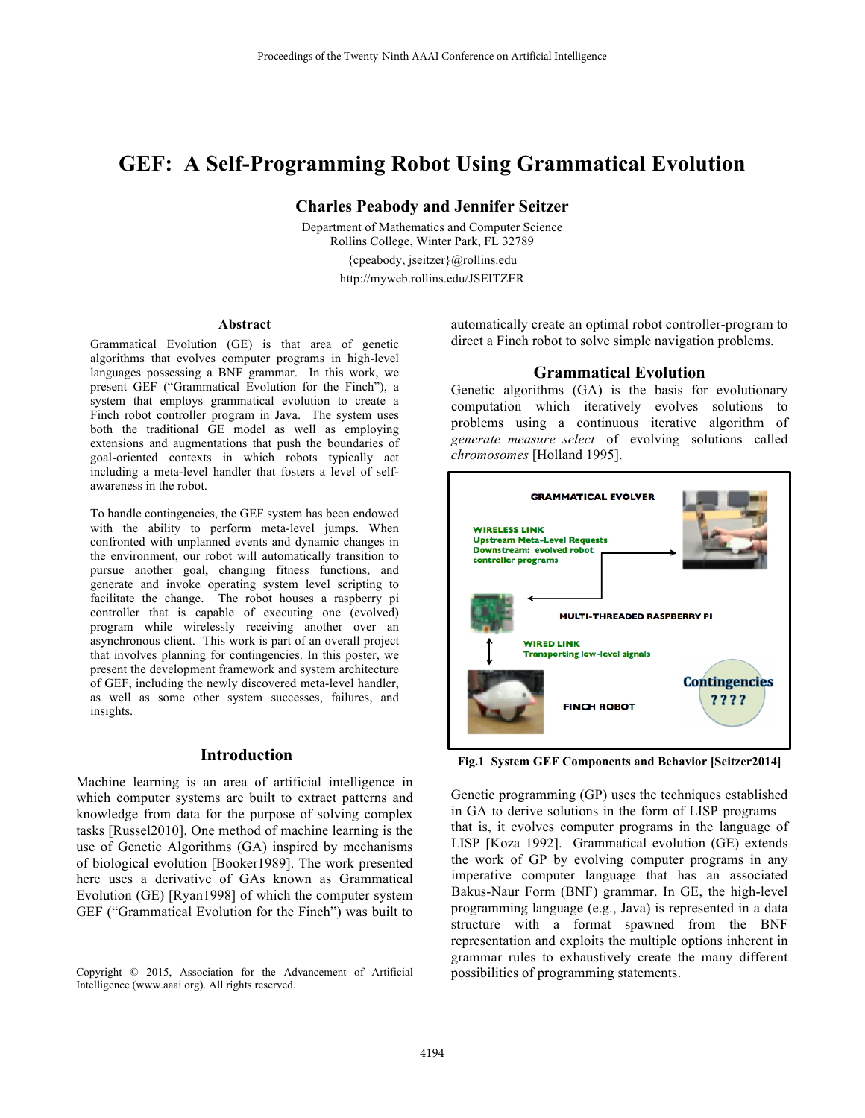# **GEF: A Self-Programming Robot Using Grammatical Evolution**

**Charles Peabody and Jennifer Seitzer** 

Department of Mathematics and Computer Science Rollins College, Winter Park, FL 32789 {cpeabody, jseitzer}@rollins.edu http://myweb.rollins.edu/JSEITZER

#### **Abstract**

Grammatical Evolution (GE) is that area of genetic algorithms that evolves computer programs in high-level languages possessing a BNF grammar. In this work, we present GEF ("Grammatical Evolution for the Finch"), a system that employs grammatical evolution to create a Finch robot controller program in Java. The system uses both the traditional GE model as well as employing extensions and augmentations that push the boundaries of goal-oriented contexts in which robots typically act including a meta-level handler that fosters a level of selfawareness in the robot.

To handle contingencies, the GEF system has been endowed with the ability to perform meta-level jumps. When confronted with unplanned events and dynamic changes in the environment, our robot will automatically transition to pursue another goal, changing fitness functions, and generate and invoke operating system level scripting to facilitate the change. The robot houses a raspberry pi controller that is capable of executing one (evolved) program while wirelessly receiving another over an asynchronous client. This work is part of an overall project that involves planning for contingencies. In this poster, we present the development framework and system architecture of GEF, including the newly discovered meta-level handler, as well as some other system successes, failures, and insights.

# **Introduction**

Machine learning is an area of artificial intelligence in which computer systems are built to extract patterns and knowledge from data for the purpose of solving complex tasks [Russel2010]. One method of machine learning is the use of Genetic Algorithms (GA) inspired by mechanisms of biological evolution [Booker1989]. The work presented here uses a derivative of GAs known as Grammatical Evolution (GE) [Ryan1998] of which the computer system GEF ("Grammatical Evolution for the Finch") was built to

 $\overline{a}$ 

automatically create an optimal robot controller-program to direct a Finch robot to solve simple navigation problems.

#### **Grammatical Evolution**

Genetic algorithms (GA) is the basis for evolutionary computation which iteratively evolves solutions to problems using a continuous iterative algorithm of *generate–measure–select* of evolving solutions called *chromosomes* [Holland 1995].



**Fig.1 System GEF Components and Behavior [Seitzer2014]**

Genetic programming (GP) uses the techniques established in GA to derive solutions in the form of LISP programs – that is, it evolves computer programs in the language of LISP [Koza 1992]. Grammatical evolution (GE) extends the work of GP by evolving computer programs in any imperative computer language that has an associated Bakus-Naur Form (BNF) grammar. In GE, the high-level programming language (e.g., Java) is represented in a data structure with a format spawned from the BNF representation and exploits the multiple options inherent in grammar rules to exhaustively create the many different possibilities of programming statements.

Copyright © 2015, Association for the Advancement of Artificial Intelligence (www.aaai.org). All rights reserved.